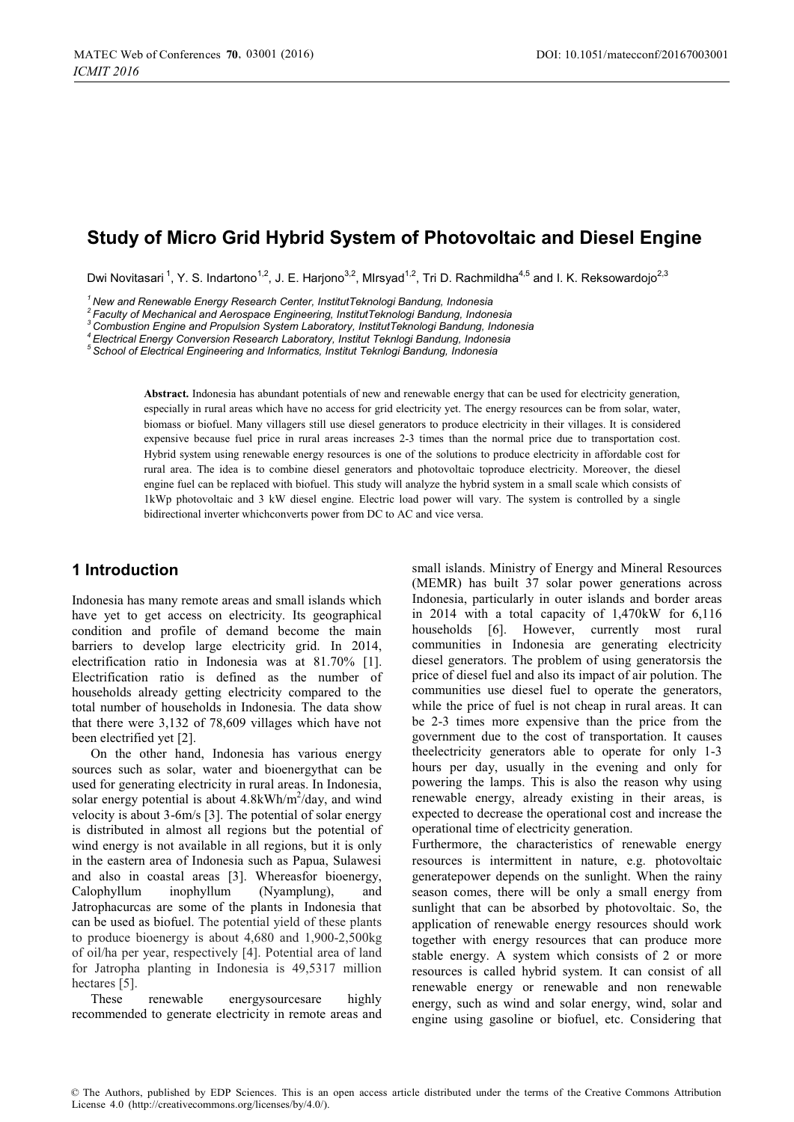# **Study of Micro Grid Hybrid System of Photovoltaic and Diesel Engine**

Dwi Novitasari <sup>1</sup>, Y. S. Indartono<sup>1,2</sup>, J. E. Hariono<sup>3,2</sup>, MIrsyad<sup>1,2</sup>, Tri D. Rachmildha<sup>4,5</sup> and I. K. Reksowardojo<sup>2,3</sup>

*1 New and Renewable Energy Research Center, InstitutTeknologi Bandung, Indonesia* 

<sup>3</sup> Combustion Engine and Propulsion System Laboratory, InstitutTeknologi Bandung, Indonesia<br><sup>4</sup> Electrical Energy Conversion Research Laboratory, Institut Teknlogi Bandung, Indonesia<br><sup>5</sup> School of Electrical Engineering a

**Abstract.** Indonesia has abundant potentials of new and renewable energy that can be used for electricity generation, especially in rural areas which have no access for grid electricity yet. The energy resources can be from solar, water, biomass or biofuel. Many villagers still use diesel generators to produce electricity in their villages. It is considered expensive because fuel price in rural areas increases 2-3 times than the normal price due to transportation cost. Hybrid system using renewable energy resources is one of the solutions to produce electricity in affordable cost for rural area. The idea is to combine diesel generators and photovoltaic toproduce electricity. Moreover, the diesel engine fuel can be replaced with biofuel. This study will analyze the hybrid system in a small scale which consists of 1kWp photovoltaic and 3 kW diesel engine. Electric load power will vary. The system is controlled by a single bidirectional inverter whichconverts power from DC to AC and vice versa.

### **1 Introduction**

Indonesia has many remote areas and small islands which have yet to get access on electricity. Its geographical condition and profile of demand become the main barriers to develop large electricity grid. In 2014, electrification ratio in Indonesia was at 81.70% [1]. Electrification ratio is defined as the number of households already getting electricity compared to the total number of households in Indonesia. The data show that there were 3,132 of 78,609 villages which have not been electrified yet [2].

On the other hand, Indonesia has various energy sources such as solar, water and bioenergythat can be used for generating electricity in rural areas. In Indonesia, solar energy potential is about  $4.8$ kWh/m<sup>2</sup>/day, and wind velocity is about 3-6m/s [3]. The potential of solar energy is distributed in almost all regions but the potential of wind energy is not available in all regions, but it is only in the eastern area of Indonesia such as Papua, Sulawesi and also in coastal areas [3]. Whereasfor bioenergy, Calophyllum inophyllum (Nyamplung), and Jatrophacurcas are some of the plants in Indonesia that can be used as biofuel. The potential yield of these plants to produce bioenergy is about 4,680 and 1,900-2,500kg of oil/ha per year, respectively [4]. Potential area of land for Jatropha planting in Indonesia is 49,5317 million hectares [5].

These renewable energysourcesare highly recommended to generate electricity in remote areas and

small islands. Ministry of Energy and Mineral Resources (MEMR) has built 37 solar power generations across Indonesia, particularly in outer islands and border areas in 2014 with a total capacity of 1,470kW for 6,116 households [6]. However, currently most rural communities in Indonesia are generating electricity diesel generators. The problem of using generatorsis the price of diesel fuel and also its impact of air polution. The communities use diesel fuel to operate the generators, while the price of fuel is not cheap in rural areas. It can be 2-3 times more expensive than the price from the government due to the cost of transportation. It causes theelectricity generators able to operate for only 1-3 hours per day, usually in the evening and only for powering the lamps. This is also the reason why using renewable energy, already existing in their areas, is expected to decrease the operational cost and increase the operational time of electricity generation.

Furthermore, the characteristics of renewable energy resources is intermittent in nature, e.g. photovoltaic generatepower depends on the sunlight. When the rainy season comes, there will be only a small energy from sunlight that can be absorbed by photovoltaic. So, the application of renewable energy resources should work together with energy resources that can produce more stable energy. A system which consists of 2 or more resources is called hybrid system. It can consist of all renewable energy or renewable and non renewable energy, such as wind and solar energy, wind, solar and engine using gasoline or biofuel, etc. Considering that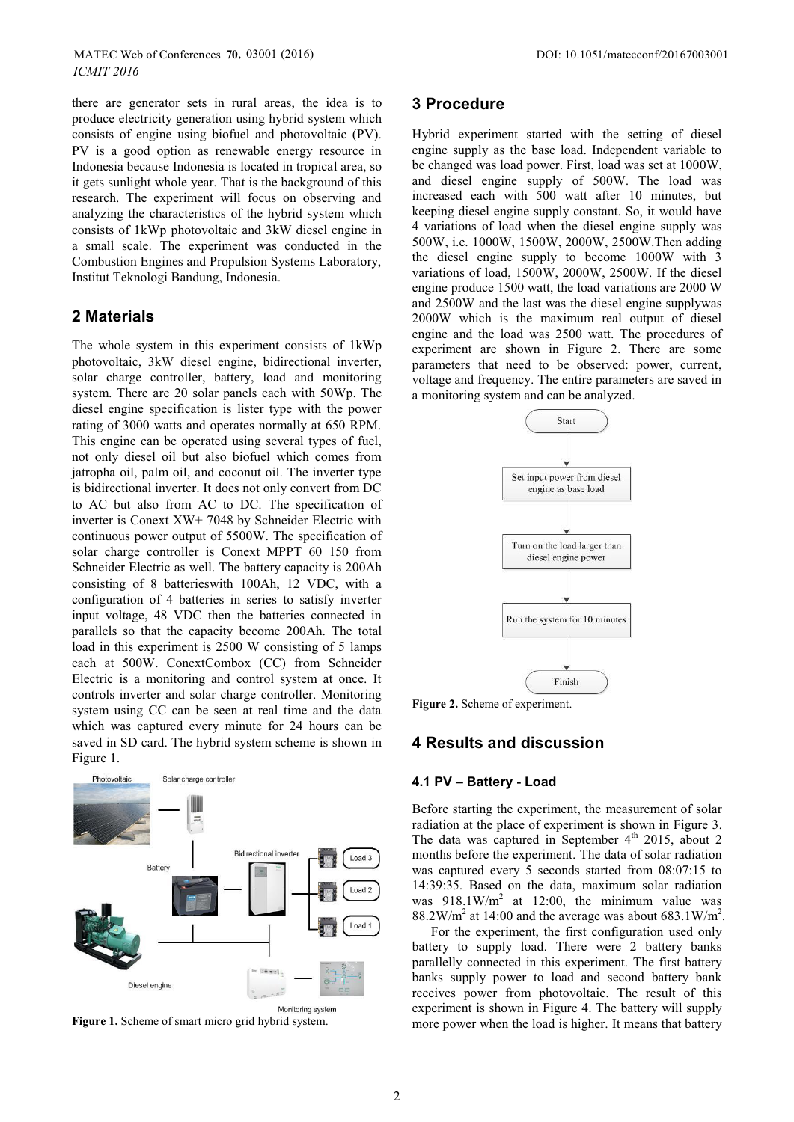there are generator sets in rural areas, the idea is to produce electricity generation using hybrid system which consists of engine using biofuel and photovoltaic (PV). PV is a good option as renewable energy resource in Indonesia because Indonesia is located in tropical area, so it gets sunlight whole year. That is the background of this research. The experiment will focus on observing and analyzing the characteristics of the hybrid system which consists of 1kWp photovoltaic and 3kW diesel engine in a small scale. The experiment was conducted in the Combustion Engines and Propulsion Systems Laboratory, Institut Teknologi Bandung, Indonesia.

### **2 Materials**

*ICMIT 2016*

The whole system in this experiment consists of 1kWp photovoltaic, 3kW diesel engine, bidirectional inverter, solar charge controller, battery, load and monitoring system. There are 20 solar panels each with 50Wp. The diesel engine specification is lister type with the power rating of 3000 watts and operates normally at 650 RPM. This engine can be operated using several types of fuel, not only diesel oil but also biofuel which comes from jatropha oil, palm oil, and coconut oil. The inverter type is bidirectional inverter. It does not only convert from DC to AC but also from AC to DC. The specification of inverter is Conext XW+ 7048 by Schneider Electric with continuous power output of 5500W. The specification of solar charge controller is Conext MPPT 60 150 from Schneider Electric as well. The battery capacity is 200Ah consisting of 8 batterieswith 100Ah, 12 VDC, with a configuration of 4 batteries in series to satisfy inverter input voltage, 48 VDC then the batteries connected in parallels so that the capacity become 200Ah. The total load in this experiment is 2500 W consisting of 5 lamps each at 500W. ConextCombox (CC) from Schneider Electric is a monitoring and control system at once. It controls inverter and solar charge controller. Monitoring system using CC can be seen at real time and the data which was captured every minute for 24 hours can be saved in SD card. The hybrid system scheme is shown in Figure 1.



**Figure 1.** Scheme of smart micro grid hybrid system.

### **3 Procedure**

Hybrid experiment started with the setting of diesel engine supply as the base load. Independent variable to be changed was load power. First, load was set at 1000W, and diesel engine supply of 500W. The load was increased each with 500 watt after 10 minutes, but keeping diesel engine supply constant. So, it would have 4 variations of load when the diesel engine supply was 500W, i.e. 1000W, 1500W, 2000W, 2500W.Then adding the diesel engine supply to become 1000W with 3 variations of load, 1500W, 2000W, 2500W. If the diesel engine produce 1500 watt, the load variations are 2000 W and 2500W and the last was the diesel engine supplywas 2000W which is the maximum real output of diesel engine and the load was 2500 watt. The procedures of experiment are shown in Figure 2. There are some parameters that need to be observed: power, current, voltage and frequency. The entire parameters are saved in a monitoring system and can be analyzed.



**Figure 2.** Scheme of experiment.

# **4 Results and discussion**

#### **4.1 PV – Battery - Load**

Before starting the experiment, the measurement of solar radiation at the place of experiment is shown in Figure 3. The data was captured in September  $4<sup>th</sup>$  2015, about 2 months before the experiment. The data of solar radiation was captured every 5 seconds started from 08:07:15 to 14:39:35. Based on the data, maximum solar radiation was  $918.1 \text{W/m}^2$  at 12:00, the minimum value was  $88.2 \text{W/m}^2$  at 14:00 and the average was about 683.1W/m<sup>2</sup>.

For the experiment, the first configuration used only battery to supply load. There were 2 battery banks parallelly connected in this experiment. The first battery banks supply power to load and second battery bank receives power from photovoltaic. The result of this experiment is shown in Figure 4. The battery will supply more power when the load is higher. It means that battery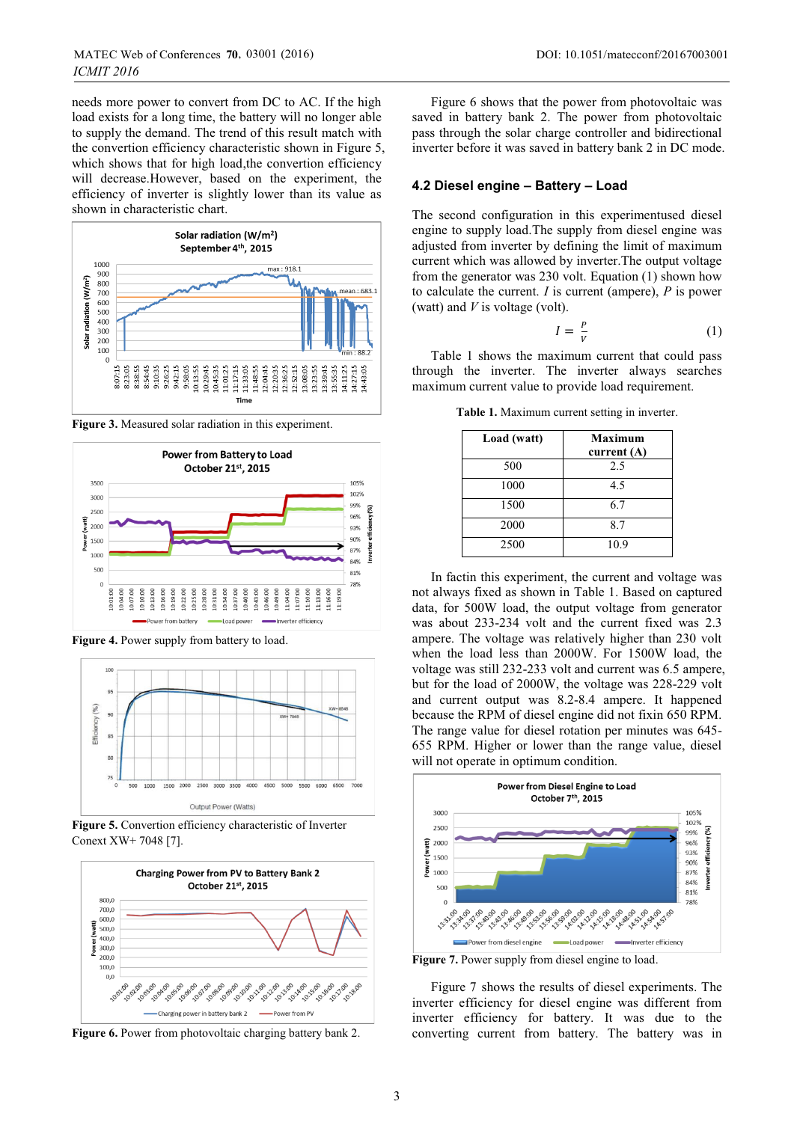needs more power to convert from DC to AC. If the high load exists for a long time, the battery will no longer able to supply the demand. The trend of this result match with the convertion efficiency characteristic shown in Figure 5, which shows that for high load, the convertion efficiency will decrease.However, based on the experiment, the efficiency of inverter is slightly lower than its value as shown in characteristic chart.



**Figure 3.** Measured solar radiation in this experiment.



**Figure 4.** Power supply from battery to load.



**Figure 5.** Convertion efficiency characteristic of Inverter Conext XW+ 7048 [7].



**Figure 6.** Power from photovoltaic charging battery bank 2.

Figure 6 shows that the power from photovoltaic was saved in battery bank 2. The power from photovoltaic pass through the solar charge controller and bidirectional inverter before it was saved in battery bank 2 in DC mode.

#### **4.2 Diesel engine – Battery – Load**

The second configuration in this experimentused diesel engine to supply load.The supply from diesel engine was adjusted from inverter by defining the limit of maximum current which was allowed by inverter.The output voltage from the generator was 230 volt. Equation (1) shown how to calculate the current. *I* is current (ampere), *P* is power (watt) and *V* is voltage (volt).

$$
I = \frac{P}{V} \tag{1}
$$

Table 1 shows the maximum current that could pass through the inverter. The inverter always searches maximum current value to provide load requirement.

**Table 1.** Maximum current setting in inverter.

| Load (watt) | Maximum<br>current $(A)$ |
|-------------|--------------------------|
| 500         | 2.5                      |
| 1000        | 4.5                      |
| 1500        | 6.7                      |
| 2000        | 8.7                      |
| 2500        | 10.9                     |

In factin this experiment, the current and voltage was not always fixed as shown in Table 1. Based on captured data, for 500W load, the output voltage from generator was about 233-234 volt and the current fixed was 2.3 ampere. The voltage was relatively higher than 230 volt when the load less than 2000W. For 1500W load, the voltage was still 232-233 volt and current was 6.5 ampere, but for the load of 2000W, the voltage was 228-229 volt and current output was 8.2-8.4 ampere. It happened because the RPM of diesel engine did not fixin 650 RPM. The range value for diesel rotation per minutes was 645- 655 RPM. Higher or lower than the range value, diesel will not operate in optimum condition.



Figure 7. Power supply from diesel engine to load.

Figure 7 shows the results of diesel experiments. The inverter efficiency for diesel engine was different from inverter efficiency for battery. It was due to the converting current from battery. The battery was in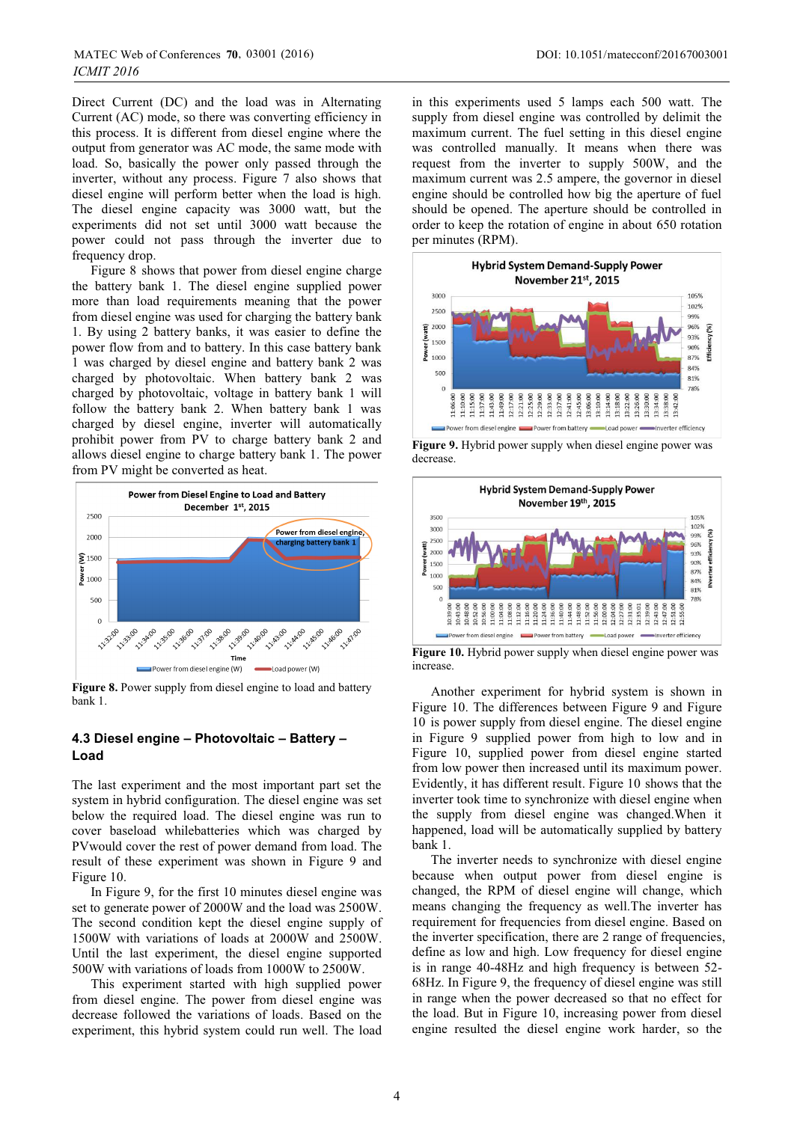Direct Current (DC) and the load was in Alternating Current (AC) mode, so there was converting efficiency in this process. It is different from diesel engine where the output from generator was AC mode, the same mode with load. So, basically the power only passed through the inverter, without any process. Figure 7 also shows that diesel engine will perform better when the load is high. The diesel engine capacity was 3000 watt, but the experiments did not set until 3000 watt because the power could not pass through the inverter due to frequency drop.

Figure 8 shows that power from diesel engine charge the battery bank 1. The diesel engine supplied power more than load requirements meaning that the power from diesel engine was used for charging the battery bank 1. By using 2 battery banks, it was easier to define the power flow from and to battery. In this case battery bank 1 was charged by diesel engine and battery bank 2 was charged by photovoltaic. When battery bank 2 was charged by photovoltaic, voltage in battery bank 1 will follow the battery bank 2. When battery bank 1 was charged by diesel engine, inverter will automatically prohibit power from PV to charge battery bank 2 and allows diesel engine to charge battery bank 1. The power from PV might be converted as heat.



**Figure 8.** Power supply from diesel engine to load and battery bank 1.

### **4.3 Diesel engine – Photovoltaic – Battery – Load**

The last experiment and the most important part set the system in hybrid configuration. The diesel engine was set below the required load. The diesel engine was run to cover baseload whilebatteries which was charged by PVwould cover the rest of power demand from load. The result of these experiment was shown in Figure 9 and Figure 10.

In Figure 9, for the first 10 minutes diesel engine was set to generate power of 2000W and the load was 2500W. The second condition kept the diesel engine supply of 1500W with variations of loads at 2000W and 2500W. Until the last experiment, the diesel engine supported 500W with variations of loads from 1000W to 2500W.

This experiment started with high supplied power from diesel engine. The power from diesel engine was decrease followed the variations of loads. Based on the experiment, this hybrid system could run well. The load

in this experiments used 5 lamps each 500 watt. The supply from diesel engine was controlled by delimit the maximum current. The fuel setting in this diesel engine was controlled manually. It means when there was request from the inverter to supply 500W, and the maximum current was 2.5 ampere, the governor in diesel engine should be controlled how big the aperture of fuel should be opened. The aperture should be controlled in order to keep the rotation of engine in about 650 rotation per minutes (RPM).



**Figure 9.** Hybrid power supply when diesel engine power was decrease.



**Figure 10.** Hybrid power supply when diesel engine power was increase.

Another experiment for hybrid system is shown in Figure 10. The differences between Figure 9 and Figure 10 is power supply from diesel engine. The diesel engine in Figure 9 supplied power from high to low and in Figure 10, supplied power from diesel engine started from low power then increased until its maximum power. Evidently, it has different result. Figure 10 shows that the inverter took time to synchronize with diesel engine when the supply from diesel engine was changed.When it happened, load will be automatically supplied by battery bank 1.

The inverter needs to synchronize with diesel engine because when output power from diesel engine is changed, the RPM of diesel engine will change, which means changing the frequency as well.The inverter has requirement for frequencies from diesel engine. Based on the inverter specification, there are 2 range of frequencies, define as low and high. Low frequency for diesel engine is in range 40-48Hz and high frequency is between 52- 68Hz. In Figure 9, the frequency of diesel engine was still in range when the power decreased so that no effect for the load. But in Figure 10, increasing power from diesel engine resulted the diesel engine work harder, so the